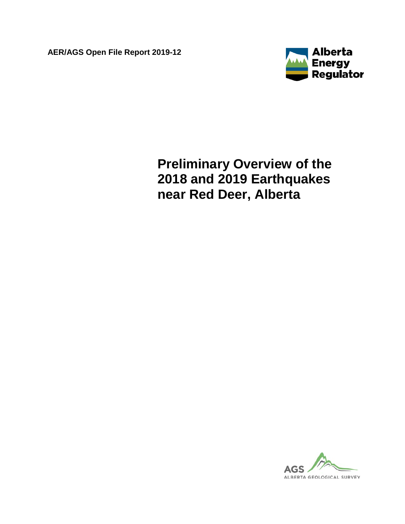**AER/AGS Open File Report 2019-12**



# **Preliminary Overview of the 2018 and 2019 Earthquakes near Red Deer, Alberta**

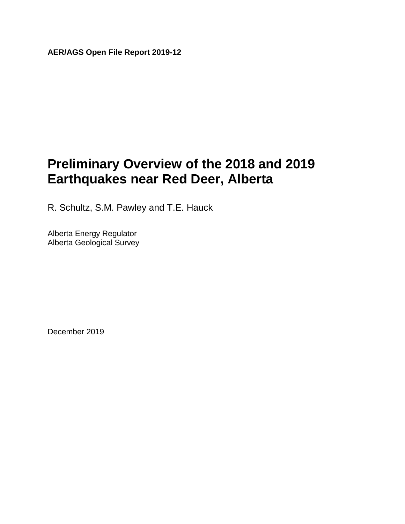**AER/AGS Open File Report 2019-12**

## **Preliminary Overview of the 2018 and 2019 Earthquakes near Red Deer, Alberta**

R. Schultz, S.M. Pawley and T.E. Hauck

Alberta Energy Regulator Alberta Geological Survey

December 2019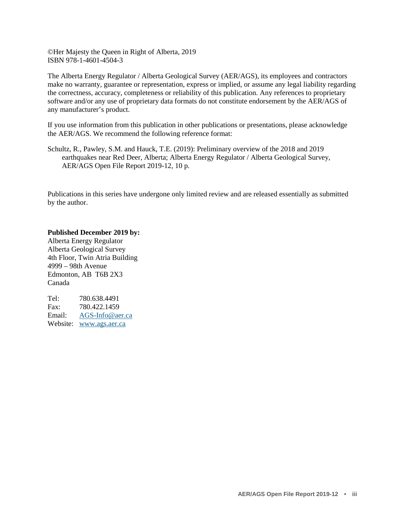©Her Majesty the Queen in Right of Alberta, 2019 ISBN 978-1-4601-4504-3

The Alberta Energy Regulator / Alberta Geological Survey (AER/AGS), its employees and contractors make no warranty, guarantee or representation, express or implied, or assume any legal liability regarding the correctness, accuracy, completeness or reliability of this publication. Any references to proprietary software and/or any use of proprietary data formats do not constitute endorsement by the AER/AGS of any manufacturer's product.

If you use information from this publication in other publications or presentations, please acknowledge the AER/AGS. We recommend the following reference format:

Schultz, R., Pawley, S.M. and Hauck, T.E. (2019): Preliminary overview of the 2018 and 2019 earthquakes near Red Deer, Alberta; Alberta Energy Regulator / Alberta Geological Survey, AER/AGS Open File Report 2019-12, 10 p.

Publications in this series have undergone only limited review and are released essentially as submitted by the author.

**Published December 2019 by:**

Alberta Energy Regulator Alberta Geological Survey 4th Floor, Twin Atria Building 4999 – 98th Avenue Edmonton, AB T6B 2X3 Canada

Tel: 780.638.4491 Fax: 780.422.1459 Email: [AGS-Info@aer.ca](mailto:AGS-Info%40aer.ca) Website: [www.ags.aer.ca](http://www.ags.aer.ca/)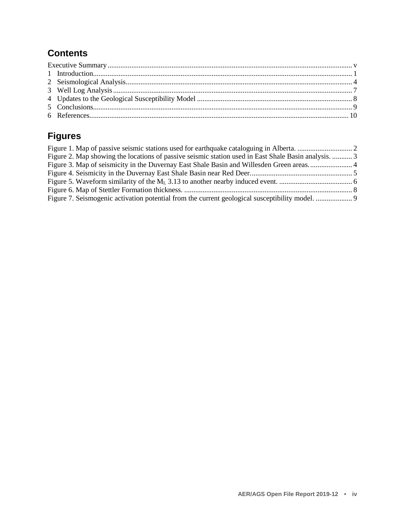#### **Contents**

### **Figures**

| Figure 2. Map showing the locations of passive seismic station used in East Shale Basin analysis.  3 |  |
|------------------------------------------------------------------------------------------------------|--|
|                                                                                                      |  |
|                                                                                                      |  |
|                                                                                                      |  |
|                                                                                                      |  |
|                                                                                                      |  |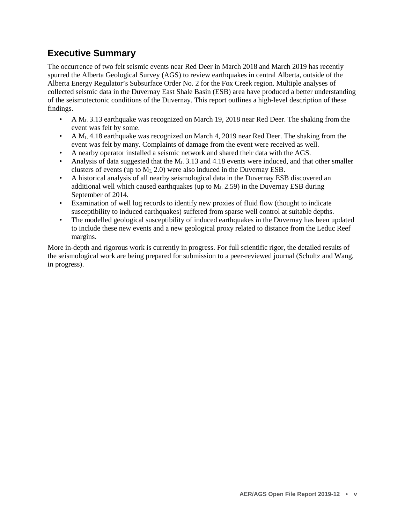#### <span id="page-4-0"></span>**Executive Summary**

The occurrence of two felt seismic events near Red Deer in March 2018 and March 2019 has recently spurred the Alberta Geological Survey (AGS) to review earthquakes in central Alberta, outside of the Alberta Energy Regulator's Subsurface Order No. 2 for the Fox Creek region. Multiple analyses of collected seismic data in the Duvernay East Shale Basin (ESB) area have produced a better understanding of the seismotectonic conditions of the Duvernay. This report outlines a high-level description of these findings.

- A  $M_L$  3.13 earthquake was recognized on March 19, 2018 near Red Deer. The shaking from the event was felt by some.
- A  $M<sub>L</sub>$  4.18 earthquake was recognized on March 4, 2019 near Red Deer. The shaking from the event was felt by many. Complaints of damage from the event were received as well.
- A nearby operator installed a seismic network and shared their data with the AGS.
- Analysis of data suggested that the  $M<sub>L</sub>$  3.13 and 4.18 events were induced, and that other smaller clusters of events (up to  $M<sub>L</sub>$  2.0) were also induced in the Duvernay ESB.
- A historical analysis of all nearby seismological data in the Duvernay ESB discovered an additional well which caused earthquakes (up to  $M<sub>L</sub>$  2.59) in the Duvernay ESB during September of 2014.
- Examination of well log records to identify new proxies of fluid flow (thought to indicate susceptibility to induced earthquakes) suffered from sparse well control at suitable depths.
- The modelled geological susceptibility of induced earthquakes in the Duvernay has been updated to include these new events and a new geological proxy related to distance from the Leduc Reef margins.

More in-depth and rigorous work is currently in progress. For full scientific rigor, the detailed results of the seismological work are being prepared for submission to a peer-reviewed journal (Schultz and Wang, in progress).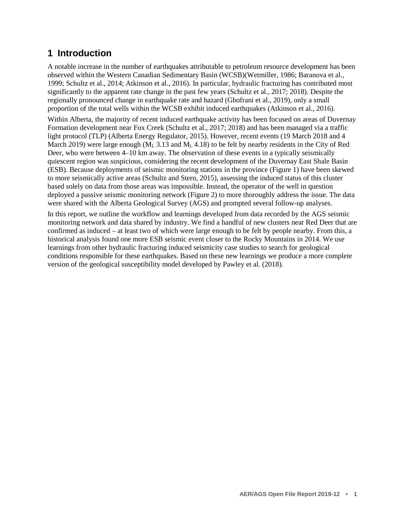#### <span id="page-5-0"></span>**1 Introduction**

A notable increase in the number of earthquakes attributable to petroleum resource development has been observed within the Western Canadian Sedimentary Basin (WCSB)(Wetmiller, 1986; Baranova et al., 1999; Schultz et al., 2014; Atkinson et al., 2016). In particular, hydraulic fracturing has contributed most significantly to the apparent rate change in the past few years (Schultz et al., 2017; 2018). Despite the regionally pronounced change in earthquake rate and hazard (Ghofrani et al., 2019), only a small proportion of the total wells within the WCSB exhibit induced earthquakes (Atkinson et al., 2016).

Within Alberta, the majority of recent induced earthquake activity has been focused on areas of Duvernay Formation development near Fox Creek (Schultz et al., 2017; 2018) and has been managed via a traffic light protocol (TLP) (Alberta Energy Regulator, 2015). However, recent events (19 March 2018 and 4 March 2019) were large enough  $(M_L 3.13$  and  $M_L 4.18$ ) to be felt by nearby residents in the City of Red Deer, who were between 4–10 km away. The observation of these events in a typically seismically quiescent region was suspicious, considering the recent development of the Duvernay East Shale Basin (ESB). Because deployments of seismic monitoring stations in the province (Figure 1) have been skewed to more seismically active areas (Schultz and Stern, 2015), assessing the induced status of this cluster based solely on data from those areas was impossible. Instead, the operator of the well in question deployed a passive seismic monitoring network (Figure 2) to more thoroughly address the issue. The data were shared with the Alberta Geological Survey (AGS) and prompted several follow-up analyses.

In this report, we outline the workflow and learnings developed from data recorded by the AGS seismic monitoring network and data shared by industry. We find a handful of new clusters near Red Deer that are confirmed as induced – at least two of which were large enough to be felt by people nearby. From this, a historical analysis found one more ESB seismic event closer to the Rocky Mountains in 2014. We use learnings from other hydraulic fracturing induced seismicity case studies to search for geological conditions responsible for these earthquakes. Based on these new learnings we produce a more complete version of the geological susceptibility model developed by Pawley et al. (2018).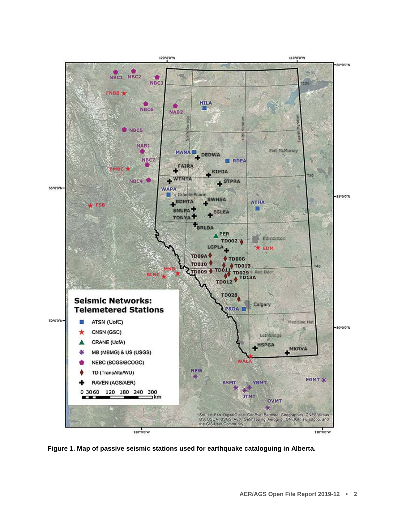<span id="page-6-0"></span>

**Figure 1. Map of passive seismic stations used for earthquake cataloguing in Alberta.**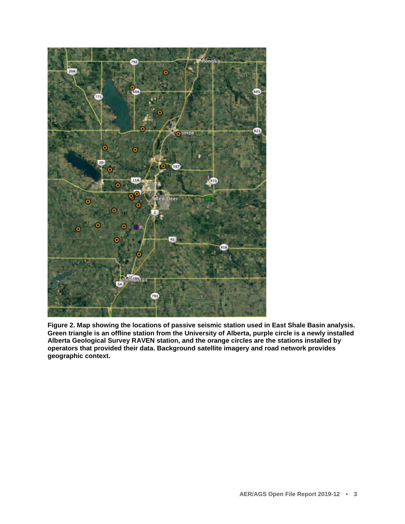<span id="page-7-1"></span>

<span id="page-7-0"></span>**Figure 2. Map showing the locations of passive seismic station used in East Shale Basin analysis. Green triangle is an offline station from the University of Alberta, purple circle is a newly installed Alberta Geological Survey RAVEN station, and the orange circles are the stations installed by operators that provided their data. Background satellite imagery and road network provides geographic context.**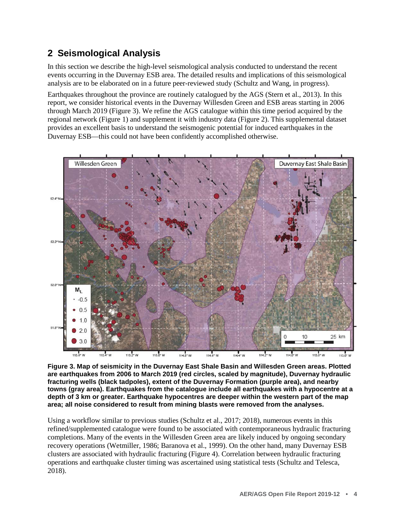### <span id="page-8-0"></span>**2 Seismological Analysis**

In this section we describe the high-level seismological analysis conducted to understand the recent events occurring in the Duvernay ESB area. The detailed results and implications of this seismological analysis are to be elaborated on in a future peer-reviewed study (Schultz and Wang, in progress).

Earthquakes throughout the province are routinely catalogued by the AGS (Stern et al., 2013). In this report, we consider historical events in the Duvernay Willesden Green and ESB areas starting in 2006 through March 2019 (Figure 3). We refine the AGS catalogue within this time period acquired by the regional network (Figure 1) and supplement it with industry data (Figure 2). This supplemental dataset provides an excellent basis to understand the seismogenic potential for induced earthquakes in the Duvernay ESB—this could not have been confidently accomplished otherwise.



**Figure 3. Map of seismicity in the Duvernay East Shale Basin and Willesden Green areas. Plotted are earthquakes from 2006 to March 2019 (red circles, scaled by magnitude), Duvernay hydraulic fracturing wells (black tadpoles), extent of the Duvernay Formation (purple area), and nearby towns (gray area). Earthquakes from the catalogue include all earthquakes with a hypocentre at a depth of 3 km or greater. Earthquake hypocentres are deeper within the western part of the map area; all noise considered to result from mining blasts were removed from the analyses.**

Using a workflow similar to previous studies (Schultz et al., 2017; 2018), numerous events in this refined/supplemented catalogue were found to be associated with contemporaneous hydraulic fracturing completions. Many of the events in the Willesden Green area are likely induced by ongoing secondary recovery operations (Wetmiller, 1986; Baranova et al., 1999). On the other hand, many Duvernay ESB clusters are associated with hydraulic fracturing (Figure 4). Correlation between hydraulic fracturing operations and earthquake cluster timing was ascertained using statistical tests (Schultz and Telesca, 2018).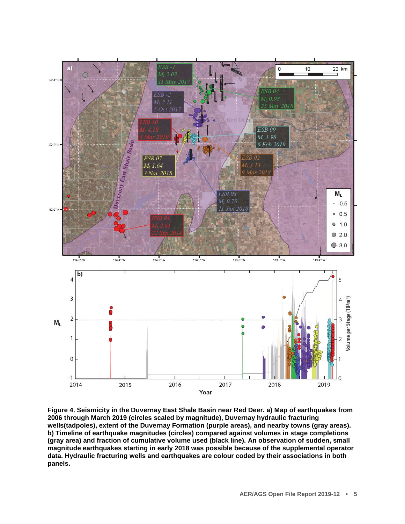<span id="page-9-0"></span>

**Figure 4. Seismicity in the Duvernay East Shale Basin near Red Deer. a) Map of earthquakes from 2006 through March 2019 (circles scaled by magnitude), Duvernay hydraulic fracturing wells(tadpoles), extent of the Duvernay Formation (purple areas), and nearby towns (gray areas). b) Timeline of earthquake magnitudes (circles) compared against volumes in stage completions (gray area) and fraction of cumulative volume used (black line). An observation of sudden, small magnitude earthquakes starting in early 2018 was possible because of the supplemental operator data. Hydraulic fracturing wells and earthquakes are colour coded by their associations in both panels.**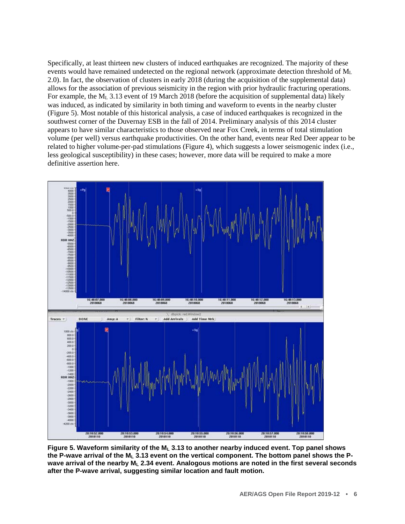<span id="page-10-0"></span>Specifically, at least thirteen new clusters of induced earthquakes are recognized. The majority of these events would have remained undetected on the regional network (approximate detection threshold of  $M<sub>L</sub>$ ) 2.0). In fact, the observation of clusters in early 2018 (during the acquisition of the supplemental data) allows for the association of previous seismicity in the region with prior hydraulic fracturing operations. For example, the M<sub>L</sub> 3.13 event of 19 March 2018 (before the acquisition of supplemental data) likely was induced, as indicated by similarity in both timing and waveform to events in the nearby cluster (Figure 5). Most notable of this historical analysis, a case of induced earthquakes is recognized in the southwest corner of the Duvernay ESB in the fall of 2014. Preliminary analysis of this 2014 cluster appears to have similar characteristics to those observed near Fox Creek, in terms of total stimulation volume (per well) versus earthquake productivities. On the other hand, events near Red Deer appear to be related to higher volume-per-pad stimulations (Figure 4), which suggests a lower seismogenic index (i.e., less geological susceptibility) in these cases; however, more data will be required to make a more definitive assertion here.



**Figure 5. Waveform similarity of the ML 3.13 to another nearby induced event. Top panel shows the P-wave arrival of the ML 3.13 event on the vertical component. The bottom panel shows the P**wave arrival of the nearby M<sub>L</sub> 2.34 event. Analogous motions are noted in the first several seconds **after the P-wave arrival, suggesting similar location and fault motion.**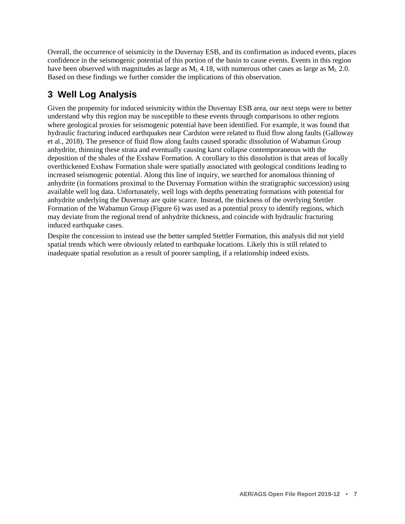Overall, the occurrence of seismicity in the Duvernay ESB, and its confirmation as induced events, places confidence in the seismogenic potential of this portion of the basin to cause events. Events in this region have been observed with magnitudes as large as  $M<sub>L</sub> 4.18$ , with numerous other cases as large as  $M<sub>L</sub> 2.0$ . Based on these findings we further consider the implications of this observation.

#### <span id="page-11-0"></span>**3 Well Log Analysis**

Given the propensity for induced seismicity within the Duvernay ESB area, our next steps were to better understand why this region may be susceptible to these events through comparisons to other regions where geological proxies for seismogenic potential have been identified. For example, it was found that hydraulic fracturing induced earthquakes near Cardston were related to fluid flow along faults (Galloway et al., 2018). The presence of fluid flow along faults caused sporadic dissolution of Wabamun Group anhydrite, thinning these strata and eventually causing karst collapse contemporaneous with the deposition of the shales of the Exshaw Formation. A corollary to this dissolution is that areas of locally overthickened Exshaw Formation shale were spatially associated with geological conditions leading to increased seismogenic potential. Along this line of inquiry, we searched for anomalous thinning of anhydrite (in formations proximal to the Duvernay Formation within the stratigraphic succession) using available well log data. Unfortunately, well logs with depths penetrating formations with potential for anhydrite underlying the Duvernay are quite scarce. Instead, the thickness of the overlying Stettler Formation of the Wabamun Group (Figure 6) was used as a potential proxy to identify regions, which may deviate from the regional trend of anhydrite thickness, and coincide with hydraulic fracturing induced earthquake cases.

Despite the concession to instead use the better sampled Stettler Formation, this analysis did not yield spatial trends which were obviously related to earthquake locations. Likely this is still related to inadequate spatial resolution as a result of poorer sampling, if a relationship indeed exists.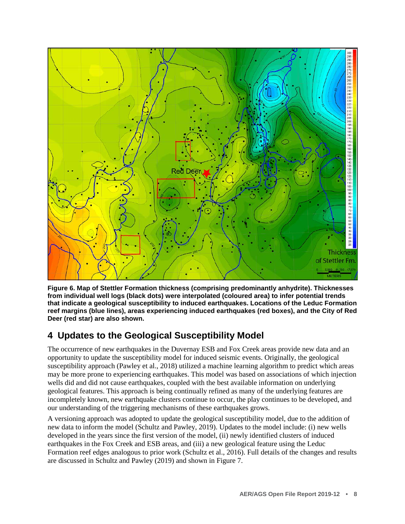<span id="page-12-1"></span>

**Figure 6. Map of Stettler Formation thickness (comprising predominantly anhydrite). Thicknesses from individual well logs (black dots) were interpolated (coloured area) to infer potential trends that indicate a geological susceptibility to induced earthquakes. Locations of the Leduc Formation reef margins (blue lines), areas experiencing induced earthquakes (red boxes), and the City of Red Deer (red star) are also shown.**

### <span id="page-12-0"></span>**4 Updates to the Geological Susceptibility Model**

The occurrence of new earthquakes in the Duvernay ESB and Fox Creek areas provide new data and an opportunity to update the susceptibility model for induced seismic events. Originally, the geological susceptibility approach (Pawley et al., 2018) utilized a machine learning algorithm to predict which areas may be more prone to experiencing earthquakes. This model was based on associations of which injection wells did and did not cause earthquakes, coupled with the best available information on underlying geological features. This approach is being continually refined as many of the underlying features are incompletely known, new earthquake clusters continue to occur, the play continues to be developed, and our understanding of the triggering mechanisms of these earthquakes grows.

A versioning approach was adopted to update the geological susceptibility model, due to the addition of new data to inform the model (Schultz and Pawley, 2019). Updates to the model include: (i) new wells developed in the years since the first version of the model, (ii) newly identified clusters of induced earthquakes in the Fox Creek and ESB areas, and (iii) a new geological feature using the Leduc Formation reef edges analogous to prior work (Schultz et al., 2016). Full details of the changes and results are discussed in Schultz and Pawley (2019) and shown in Figure 7.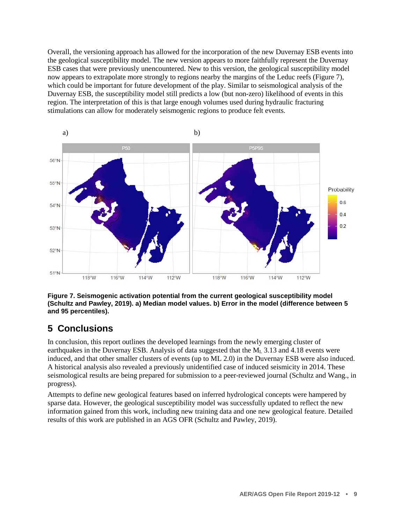<span id="page-13-1"></span>Overall, the versioning approach has allowed for the incorporation of the new Duvernay ESB events into the geological susceptibility model. The new version appears to more faithfully represent the Duvernay ESB cases that were previously unencountered. New to this version, the geological susceptibility model now appears to extrapolate more strongly to regions nearby the margins of the Leduc reefs (Figure 7), which could be important for future development of the play. Similar to seismological analysis of the Duvernay ESB, the susceptibility model still predicts a low (but non-zero) likelihood of events in this region. The interpretation of this is that large enough volumes used during hydraulic fracturing stimulations can allow for moderately seismogenic regions to produce felt events.



**Figure 7. Seismogenic activation potential from the current geological susceptibility model (Schultz and Pawley, 2019). a) Median model values. b) Error in the model (difference between 5 and 95 percentiles).**

### <span id="page-13-0"></span>**5 Conclusions**

In conclusion, this report outlines the developed learnings from the newly emerging cluster of earthquakes in the Duvernay ESB. Analysis of data suggested that the  $M<sub>L</sub>$  3.13 and 4.18 events were induced, and that other smaller clusters of events (up to ML 2.0) in the Duvernay ESB were also induced. A historical analysis also revealed a previously unidentified case of induced seismicity in 2014. These seismological results are being prepared for submission to a peer-reviewed journal (Schultz and Wang., in progress).

Attempts to define new geological features based on inferred hydrological concepts were hampered by sparse data. However, the geological susceptibility model was successfully updated to reflect the new information gained from this work, including new training data and one new geological feature. Detailed results of this work are published in an AGS OFR (Schultz and Pawley, 2019).